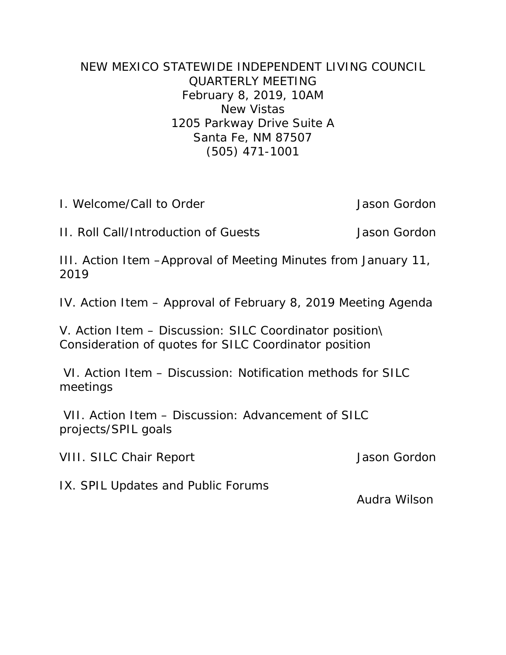## NEW MEXICO STATEWIDE INDEPENDENT LIVING COUNCIL QUARTERLY MEETING February 8, 2019, 10AM New Vistas 1205 Parkway Drive Suite A Santa Fe, NM 87507 (505) 471-1001

I. Welcome/Call to Order Jason Gordon

II. Roll Call/Introduction of Guests Jason Gordon

III. Action Item –Approval of Meeting Minutes from January 11, 2019

IV. Action Item – Approval of February 8, 2019 Meeting Agenda

V. Action Item – Discussion: SILC Coordinator position\ Consideration of quotes for SILC Coordinator position

VI. Action Item – Discussion: Notification methods for SILC meetings

VII. Action Item – Discussion: Advancement of SILC projects/SPIL goals

VIII. SILC Chair Report Jason Gordon

IX. SPIL Updates and Public Forums

Audra Wilson